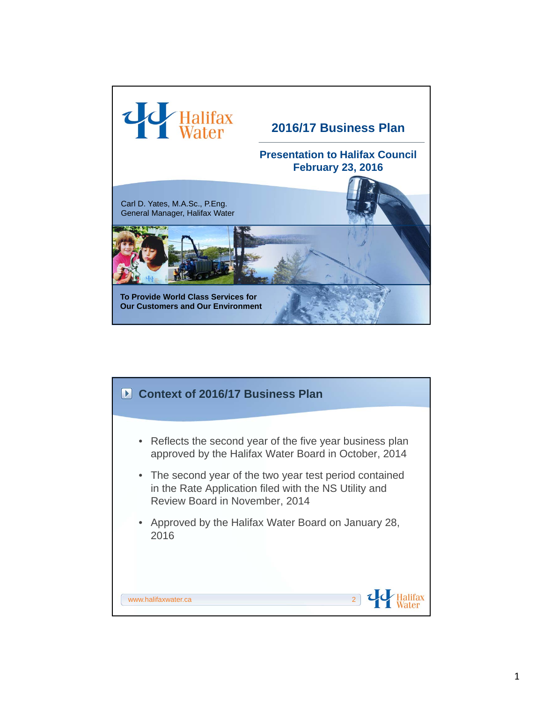

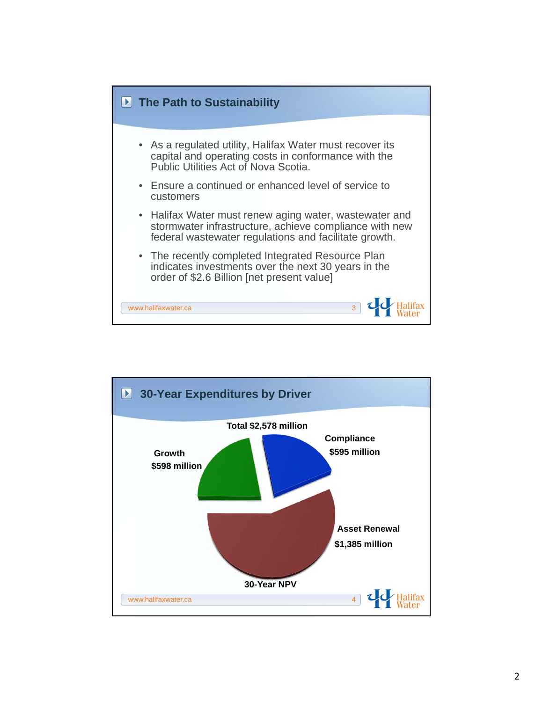

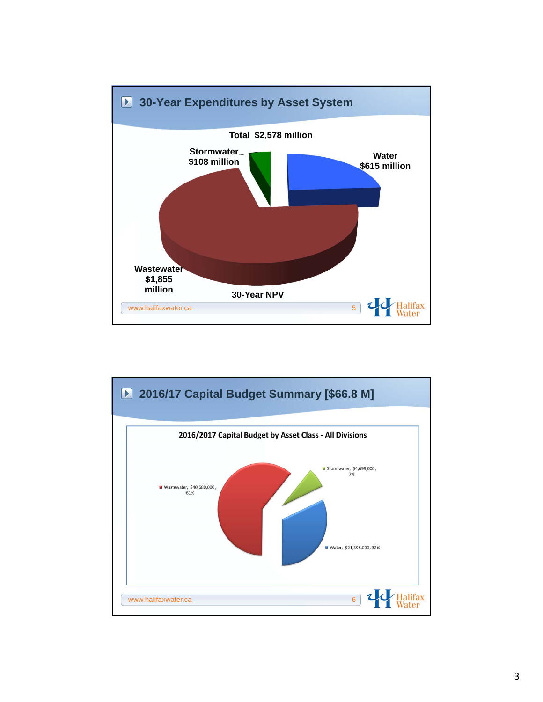

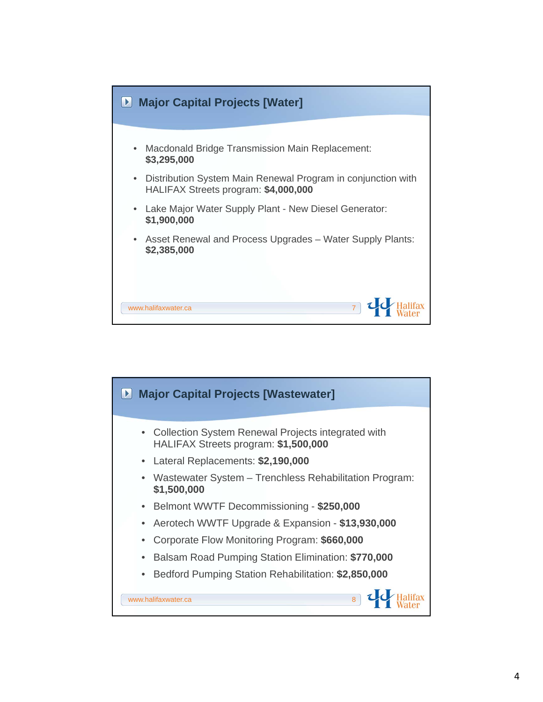

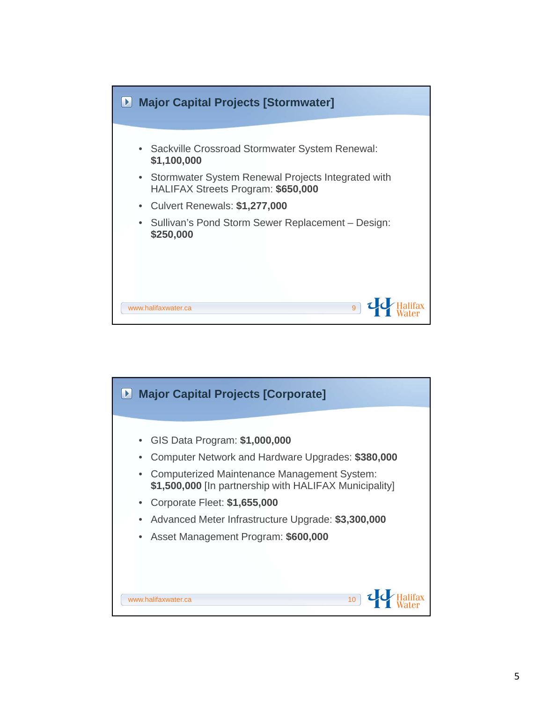

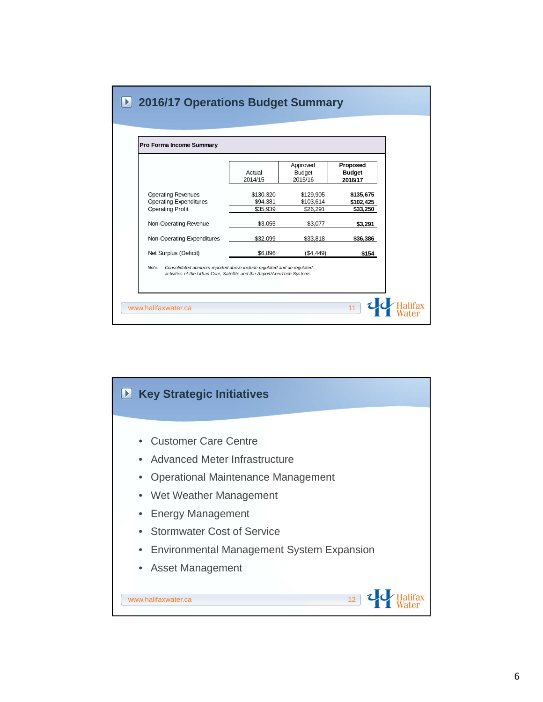